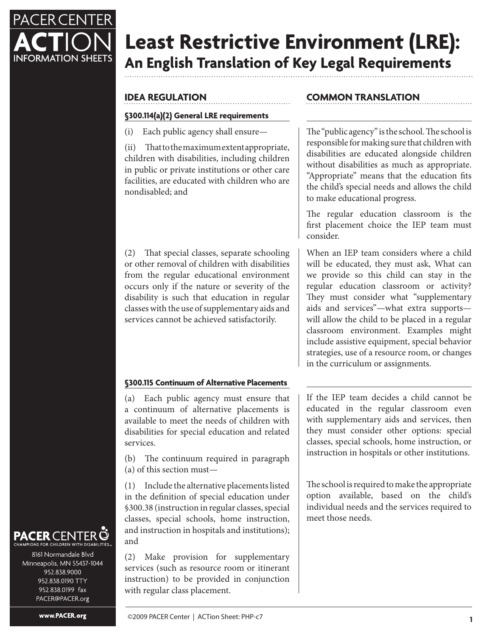

# **Least Restrictive Environment (LRE): An English Translation of Key Legal Requirements**

# **IDEA REGULATION**

## **§300.114(a)(2) General LRE requirements**

(i) Each public agency shall ensure—

(ii) That to the maximum extent appropriate, children with disabilities, including children in public or private institutions or other care facilities, are educated with children who are nondisabled; and

(2) That special classes, separate schooling or other removal of children with disabilities from the regular educational environment occurs only if the nature or severity of the disability is such that education in regular classes with the use of supplementary aids and services cannot be achieved satisfactorily.

# **§300.115 Continuum of Alternative Placements**

(a) Each public agency must ensure that a continuum of alternative placements is available to meet the needs of children with disabilities for special education and related services.

(b) The continuum required in paragraph (a) of this section must—

(1) Include the alternative placements listed in the definition of special education under §300.38 (instruction in regular classes, special classes, special schools, home instruction, and instruction in hospitals and institutions); and

(2) Make provision for supplementary services (such as resource room or itinerant instruction) to be provided in conjunction with regular class placement.

# **COMMON TRANSLATION**

The "public agency" is the school. The school is responsible for making sure that children with disabilities are educated alongside children without disabilities as much as appropriate. "Appropriate" means that the education fits the child's special needs and allows the child to make educational progress.

The regular education classroom is the first placement choice the IEP team must consider.

When an IEP team considers where a child will be educated, they must ask, What can we provide so this child can stay in the regular education classroom or activity? They must consider what "supplementary aids and services"—what extra supports will allow the child to be placed in a regular classroom environment. Examples might include assistive equipment, special behavior strategies, use of a resource room, or changes in the curriculum or assignments.

If the IEP team decides a child cannot be educated in the regular classroom even with supplementary aids and services, then they must consider other options: special classes, special schools, home instruction, or instruction in hospitals or other institutions.

The school is required to make the appropriate option available, based on the child's individual needs and the services required to meet those needs.

#### **PACER CENT** ONS FOR CHILDREN WITH DISABILITIES

8161 Normandale Blvd Minneapolis, MN 55437-1044 952.838.9000 952.838.0190 TTY 952.838.0199 fax PACER@PACER.org